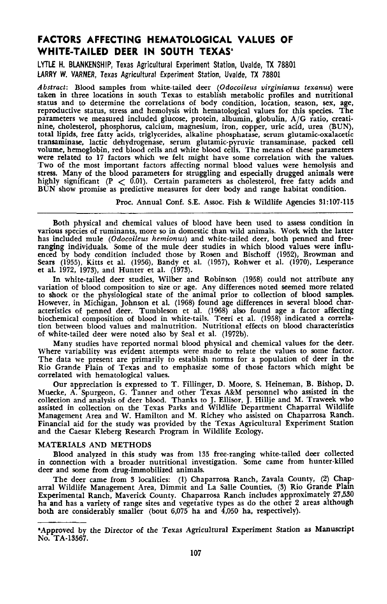# **FACTORS AFFECTING HEMATOLOGICAL VALUES OF WHITE-TAILED DEER IN SOUTH TEXAS'**

LYTLE H. BLANKENSHIP, Texas Agricultural Experiment Station, Uvalde, TX 78801 LARRY W. VARNER, Texas Agricultural Experiment Station, Uvalde, TX 78801

*Abstract:* Blood samples from white-tailed deer *(Odocoileus virginianus texanus)* were taken in three locations in south Texas to establish metabolic profiles and nutritional status and to determine the correlations of body condition, location, season, sex, age, reproductive status, stress and hemolysis with hematological values for this species. The parameters we measured included glucose, protein, albumin, globulin, A/G ratio, creatinine, cholesterol, phosphorus, calcium, magnesium, iron, copper, uric acid, urea (BUN), total lipids, free fatty acids, triglycerides, alkaline phosphatase, serum glutamic-oxalacetic transaminase, lactic dehydrogenase, serum glutamic-pyruvic transaminase, packed cell<br>volume, hemoglobin, red blood cells and white blood cells. The means of these parameters volume, hemoglobin, red blood cells and white blood cells. The means of these parameters were related to <sup>17</sup> factors which we felt might have some correlation with the values. Two of the most important factors affecting normal blood values were hemolysis and stress. Many of the blood parameters for struggling and especially drugged animals were highly significant (P  $<$  0.01). Certain parameters as cholesterol, free fatty acids and BUN show promise as predictive measures for deer body and range habitat condition.

Proc. Annual Conf. S.E. Assoc. Fish & Wildlife Agencies 31:107·115

Both physical and chemical values of blood have been used to assess condition in various species of ruminants, more so in domestic than wild animals. Work with the latter has included mule *(Odocoileus hemionus)* and white-tailed deer, both penned and free· ranging individuals. Some of the mule deer studies in which blood values were influenced by body condition included those by Rosen and Bischoff (1952), Browman and Sears (1955), Kitts et aI. (1956). Bandy et aI. (1957). Rohwer et aI. (1970), Lesperance et aI. 1972, 1973), and Hunter et aI. (1973).

In white-tailed deer studies. Wilber and Robinson (1958) could not attribute any variation of blood composition to size or age. Any differences noted seemed more related to shock or the physiological state of the animal prior to collection of blood samples. However, in Michigan. Johnson et al. (1968) found age differences in several blood characteristics of penned deer. Tumbleson et al. (1968) also found age a factor affecting biochemical composition of blood in white-tails. Teeri et aI. (1958) indicated a correlation between blood values and malnutrition. Nutritional effects on blood characteristics of white-tailed deer were noted also by Seal et aI. (1972b).

Many studies have reported normal blood physical and chemical values for the deer. Where variability was evident attempts were made to relate the values to some factor. The data we present are primarily to establish norms for a population of deer in the Rio Grande Plain of Texas and to emphasize some of those factors which might be correlated with hematological values.

Our appreciation is expressed to T. Fillinger, D. Moore, S. Heineman, B. Bishop, D. Muecke, A. Spurgeon, G. Tanner and other Texas A&M personnel who assisted in the<br>collection and analysis of deer blood. Thanks to J. Ellisor, J. Hillje and M. Traweek who<br>assisted in collection on the Texas Parks and Wildl Management Area and W. Hamilton and M. Richey who assisted on Chaparrosa Ranch. Financial aid for the study was provided by the Texas Agricultural Experiment Station and the Caesar Kleberg Research Program in Wildlife Ecology.

#### MATERIALS AND METHODS

Blood analyzed in this study was from 135 free·ranging white-tailed deer colIected in connection with a broader nutritional investigation. Some came from hunter-killed deer and some from drug-immobilized animals.

The deer came from 3 localities: (I) Chaparrosa Ranch. Zavala County, (2) Chaparral Wildlife Management Area, Dimmit and La SalIe Counties. (3) Rio Grande Plain Experimental Ranch. Maverick County. Chaparrosa Ranch includes approximately 27,530 ha and has a variety of range sites and vegetative types as do the other 2 areas although both are considerably smaller (bout 6,075 ha and 4,050 ha, respectively).

<sup>&</sup>quot;Approved by the Director of the Texas Agricultural Experiment Station as Manuscript No. TA·13567.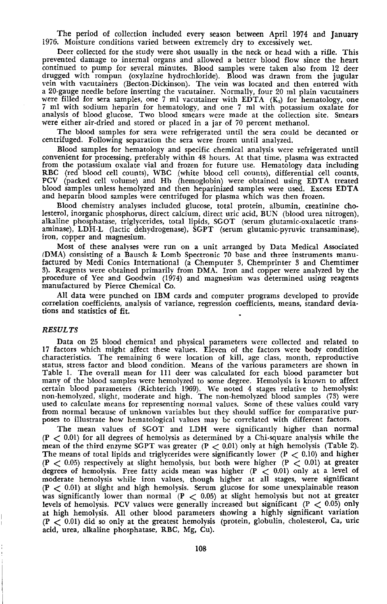The period of collection included every season between April 1974 and January 1976. Moisture conditions varied between extremely dry to excessively wet.

Deer collected for the study were shot usually in the neck or head with a rifle. This prevented damage to internal organs and allowed a better blood flow since the heart continued to pump for several minutes. Blood samples were taken also from 12 deer drugged with rompun (oxylazine hydrochloride). Blood was drawn from the jugular vein with vacutainers (Becton-Dickinson). The vein was located and then entered with a 20-gauge needle before inserting the vacutainer. Normally, four 20 ml plain vacutainers were filled for sera samples, one 7 ml vacutainer with EDTA  $(K_3)$  for hematology, one 7 ml with sodium heparin for hematology, and one 7 ml with potassium oxalate for analysis of blood glucose. Two blood smears were made at the collection site. Smears were either air-dried and stored or placed in a jar of 70 percent methanol.

The blood samples for sera were refrigerated until the sera could be decanted or centrifuged. Following separation the sera were frozen until analyzed.

Blood samples for hematology and specific chemical analysis were refrigerated until convenient for processing, preferably within 48 hours. At that time, plasma was extracted from the potassium oxalate vial and frozen for future use. Hematology data including RBC (red blood cell counts), WBC (white blood cell counts), differential cell counts, PCV (packed cell volume) and Hb (hemoglobin) were obtained using EDTA treated blood samples unless hemolyzed and then heparinized samples were used. Excess EDTA and heparin blood samples were centrifuged for plasma which was then frozen.

Blood chemistry analyses included glucose, total protein, albumin, creatinine cholesterol, inorganic phosphorus, direct calcium, direct uric acid, BUN (blood urea nitrogen), alkaline phosphatase, triglycerides, total lipids, SGOT (serum glutamic-oxalacetic transaminase), LDH-L (lactic dehydrogenase), SGPT (serum glutamic-pyruvic transaminase), iron, copper and magnesium.

Most of these analyses were run on a unit arranged by Data Medical Associated IDMA) consisting of a Bausch & Lomb Spectronic 70 base and three instruments manufactured by Medi Conics International (a Chemputer 3, Chemprinter 3 and Chemtimer 3). Reagents were obtained primarily from DMA. Iron and copper were analyzed by the procedure of Yee and Goodwin (1974) and magnesium was determined using reagents manufactured by Pierce Chemical Co.

All data were punched on IBM cards and computer programs developed to provide correlation coefficients, analysis of variance, regression coefficients, means, standard deviations and statistics of fit.

### *RESULTS*

Data on 25 blood chemical and physical parameters were collected and related to 17 factors which might affect these values. Eleven of the factors were body condition characteristics. The remaining 6 were location of kill, age class, month, reproductive status, stress factor and blood condition. Means of the various parameters are shown in Table 1. The overall mean for 111 deer was calculated for each blood parameter but many of the blood samples were hemolyzed to some degree. Hemolysis is known to affect certain blood parameters (Richterich 1969). We noted 4 stages relative to hemolysis: non-hemolyzed, slight, moderate and high. The non-hemolyzed blood samples (73) were used to calculate means for representing normal values. Some of these values could vary from normal because of unknown variables but they should suffice for comparative purposes to illustrate how hematological values may be correlated with different factors.

The mean values of SGOT and LDH were significantly higher than normal  $(P < 0.01)$  for all degrees of hemolysis as determined by a Chi-square analysis while the mean of the third enzyme SGPT was greater  $(P < 0.01)$  only at high hemolysis (Table 2). The means of total lipids and triglycerides were significantly lower (P  $<$  0.10) and higher (P  $<$  0.05) respectively at slight hemolysis, but both were higher (P  $<$  0.01) at greater degrees of hemolysis. Free fatty acids mean was higher  $(P < 0.01)$  only at a level of moderate hemolysis while iron values, though higher at all stages, were significant  $(P < 0.01)$  at slight and high hemolysis. Serum glucose for some unexplainable reason was significantly lower than normal  $(P < 0.05)$  at slight hemolysis but not at greater levels of hemolysis. PCV values were generally increased but significant  $(P < 0.05)$  only at high hemolysis. All other blood parameters showing a highly significant variation  $(P < 0.01)$  did so only at the greatest hemolysis (protein, globulin, cholesterol, Ca, uric acid, urea, alkaline phosphatase, RBC, Mg, Cu).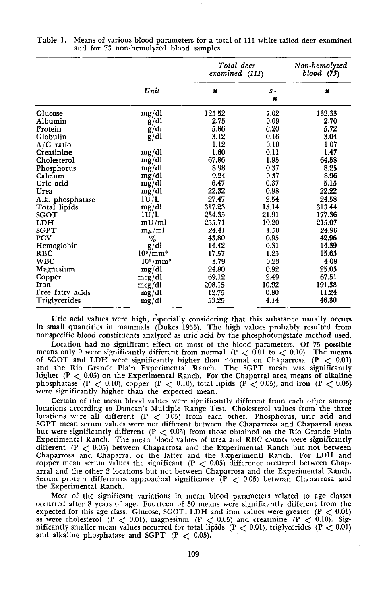|                  |                      | Total deer<br>examined (111) | Non-hemolyzed<br>blood (73)        |        |
|------------------|----------------------|------------------------------|------------------------------------|--------|
|                  | Unit                 | x                            | $s -$<br>$\boldsymbol{\mathsf{x}}$ | ×      |
| Glucose          | mg/dl                | 125.52                       | 7.02                               | 132.33 |
| Albumin          | g/dl                 | 2.75                         | 0.09                               | 2.70   |
| Protein          | g/dl                 | 5.86                         | 0.20                               | 5.72   |
| Globulin         | g/dl                 | 3.12                         | 0.16                               | 3.04   |
| $A/G$ ratio      |                      | 1.12                         | 0.10                               | 1.07   |
| Creatinine       | mg/dl                | 1.60                         | 0.11                               | 1.47   |
| Cholesterol      | mg/dl                | 67.86                        | 1.95                               | 64.58  |
| Phosphorus       | mg/dl                | 8.98                         | 0.37                               | 8.25   |
| Calcium          | mg/dl                | 9.24                         | 0.37                               | 8.96   |
| Uric acid        | mg/dl                | 6.47                         | 0.37                               | 5.15   |
| Urea             | mg/dl                | 22.32                        | 0.98                               | 22.22  |
| Alk. phosphatase | 1U/L                 | 27.47                        | 2.54                               | 24.58  |
| Total lipids     | mg/dl                | 317.23                       | 15.14                              | 313.44 |
| SGOT             | 1U/L                 | 234.35                       | 21.91                              | 177.36 |
| LDH              | mU/ml                | 255.71                       | 19.20                              | 215.07 |
| SGPT             | $m_\mu/ml$           | 24.41                        | 1.50                               | 24.96  |
| PCV              | %                    | 43.80                        | 0.95                               | 42.96  |
| Hemoglobin       | g/dl                 | 14.42                        | 0.31                               | 14.39  |
| <b>RBC</b>       | $10^6/\mathrm{mm}^3$ | 17.57                        | 1.25                               | 15.65  |
| <b>WBC</b>       | $10^3/\mathrm{mm}^3$ | 3.79                         | 0.23                               | 4.08   |
| Magnesium        | mg/dl                | 24.80                        | 0.92                               | 25.05  |
| Copper           | mcg/dl               | 69.12                        | 2.49                               | 67.51  |
| Iron             | mcg/dl               | 208.15                       | 10.92                              | 191.38 |
| Free fatty acids | mg/dl                | 12.75                        | 0.80                               | 11.24  |
| Triglycerides    | mg/dl                | 53.25                        | 4.14                               | 46.30  |

| Table 1. | Means of various blood parameters for a total of 111 white-tailed deer examined |
|----------|---------------------------------------------------------------------------------|
|          | and for 73 non-hemolyzed blood samples.                                         |

Uric acid values were high, especially considering that this substance usually occurs in small quantities in mammals (Dukes 1955). The high values probably resulted from nonspecific blood constituents analyzed as uric acid by the phosphotungstate method used.

Location had no significant effect on most of the blood parameters. Of 75 possible Eccation had no significantly different from normal ( $P < 0.01$  to  $< 0.10$ ). The means only 9 were significantly different from normal ( $P < 0.01$  to  $< 0.10$ ). The means of SGOT and LDH were significantly higher than normal on Chaparrosa  $(P < 0.01)$ and the Rio Grande Plain Experimental Ranch. The SGPT mean was significantly higher  $(P < 0.05)$  on the Experimental Ranch. For the Chaparral area means of alkaline meand in  $\mathbb{R} \times 0.5$  on the experimental Kantin. For the emaparial area means of attaining phosphatase (P  $\lt 0.0$ ), copper (P  $\lt 0.05$ ), total lipids (P  $\lt 0.05$ ), and iron (P  $\lt 0.05$ ) were significantly higher th

Certain of the mean blood values were significantly different from each other among locations according to Duncan's Multiple Range Test. Cholesterol values from the three locations were all different  $(P < 0.05)$  from each other. Phosphorus, uric acid and SGPT mean serum values were not different between the Chaparrosa and Chaparral areas but were significantly different (P < 0.05) from those obtained on the Rio Grande Plain Experimental Ranch. The mean blood values of urea and RBC counts were significantly different (P  $<$  0.05) between Chaparrosa and the Experimental Ranch but not between Chaparrosa and Chaparral or the latter and the Experimentl Ranch. For LDH and chaparrosa and chaparral of the fatter and the experimentic Kantil. For EDT and copper mean serum values the significant  $(P < 0.05)$  difference occurred between Chaparral and the other 2 locations but not between Chaparrosa and the Experimental Ranch. Serum protein differences approached significance (P < 0.05) between Chaparrosa and the Experimental Ranch.

Most of the significant variations in mean blood parameters related to age classes occurred after 8 years of age. Fourteen of 50 means were significantly different from the expected for this age class. Glucose, SGOT, LDH and iron values were greater (P < 0.01) Expected for this age class. Glucose,  $3601$ , EDR and from values were greater  $(r < 0.01)$ <br>as were cholesterol (P  $< 0.01$ ), magnesium (P  $< 0.05$ ) and creatinine (P  $< 0.10$ ). Sigas were cholesteror  $(r < 0.01)$ , magnesium  $(r < 0.00)$  and creatiline  $(r < 0.01)$ , significantly smaller mean values occurred for total lipids  $(P < 0.01)$ , triglycerides  $(P < 0.01)$ and alkaline phosphatase and  $SGPT$  ( $P < 0.05$ ).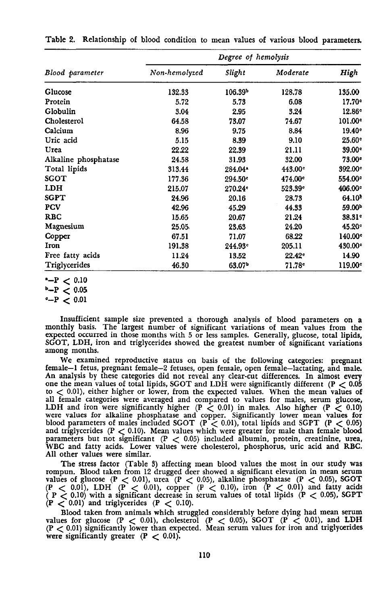|                      | Degree of hemolysis |                     |                     |                     |  |  |  |
|----------------------|---------------------|---------------------|---------------------|---------------------|--|--|--|
| Blood parameter      | Non-hemolyzed       | Slight              | Moderate            | High                |  |  |  |
| Glucose              | 132.33              | 106.39 <sup>b</sup> | 128.78              | 135.00              |  |  |  |
| Protein              | 5.72                | 5.73                | 6.08                | 17.70°              |  |  |  |
| Globulin             | 3.04                | 2.95                | 3.24                | 12.86 <sup>e</sup>  |  |  |  |
| Cholesterol          | 64.58               | 73.07               | 74.67               | 101.00°             |  |  |  |
| Calcium              | 8.96                | 9.75                | 8.84                | 19.40°              |  |  |  |
| Uric acid            | 5.15                | 8.39                | 9.10                | 25.60°              |  |  |  |
| Urea                 | 22.22               | 22.39               | 21.11               | 39.00 <sup>e</sup>  |  |  |  |
| Alkaline phosphatase | 24.58               | 31.93               | 32.00               | 73.00°              |  |  |  |
| Total lipids         | 313.44              | 284.04*             | 443.00 <sup>c</sup> | 392.00 <sup>°</sup> |  |  |  |
| SGOT                 | 177.36              | 294.50°             | 474.00 <sup>c</sup> | 554.00 <sup>c</sup> |  |  |  |
| LDH                  | 215.07              | 270.24°             | 523.39°             | 406.00 <sup>c</sup> |  |  |  |
| <b>SGPT</b>          | 24.96               | 20.16               | 28.73               | 64.10 <sup>8</sup>  |  |  |  |
| <b>PCV</b>           | 42.96               | 45.29               | 44.33               | 59.00 <sup>b</sup>  |  |  |  |
| <b>RBC</b>           | 15.65               | 20.67               | 21.24               | 38.31 <sup>e</sup>  |  |  |  |
| Magnesium            | 25.05               | 23.63               | 24.20               | 45.20°              |  |  |  |
| Copper               | 67.51               | 71.07               | 68.22               | 140.00 <sup>c</sup> |  |  |  |
| Iron                 | 191.38              | 244.93°             | 205.11              | 430.00 <sup>c</sup> |  |  |  |
| Free fatty acids     | 11.24               | 13.52               | 22.42 <sup>e</sup>  | 14.90               |  |  |  |
| Triglycerides        | 46.30               | 63.07               | 71.78c              | 119.00 <sup>°</sup> |  |  |  |

Table 2. Relationship of blood condition to mean values of various blood parameters.

Insufficient sample size prevented <sup>a</sup> thorough analysis of blood parameters on <sup>a</sup> monthly basis. The largest number of significant variations of mean values from the expected occurred in those months with 5 or less samples. Generally, glucose, total lipids, SGOT, LDH, iron and triglycerides showed the greatest number of significant variations among months.

We examined reproductive status on basis of the following categories: pregnant female-l fetus, pregnant female-2 fetuses, open female, open female-lactating, and male. one the mean values of total lipids, SGOT and LDH were significantly different (P  $<$  0.05 one in encan values of votal nipus, sero it and LDH were significantly different ( $r < 0.01$ ), either higher or lower, from the expected values. When the mean values of all female categories were averaged and compared to va an remark categories were averaged and compared to values for males. Also higher (P  $\zeta$  0.10) were values for alkaline phosphatase and copper. Significantly lower mean values for blood parameters of males included SGOT ( $P < 0.01$ ), total lipids and SGPT ( $P < 0.05$ ) and triglycerides ( $P < 0.10$ ). Mean values which were greater for male than female blood parameters but not significant (P < 0.05) included albumin, protein, creatinine, urea, WBC and fatty acids. Lower values were cholesterol, phosphorus, uric acid and RBC. All other values were similar.

The stress factor (Table 3) affecting mean blood values the most in our study was<br>rompun. Blood taken from 12 drugged deer showed a significant elevation in mean serum<br>values of glucose (P < 0.01), urea (P < 0.05), alkali values of gluttise  $(1 \le 0.01)$ , then  $(1 \le 0.05)$ , and the phosphatase  $(1 \le 0.05)$ ,  $5001$ <br>(P < 0.01), LDH (P < 0.01), copper  $(P \lt 0.10)$ , iron  $(P \lt 0.01)$  and fatty acids  $( P < 0.01)$ , EDH ( $P < 0.01$ ), copper ( $P < 0.10$ ), Hon ( $P < 0.01$ ) and latty actual ( $P < 0.00$ ), SGPT  $(P < 0.10)$  with a significant decrease in<br> $(P < 0.01)$  and triglycerides  $(P < 0.10)$ .

Blood taken from animals which struggled considerably before dying had mean serum values for glucose (P  $<$  0.01), cholesterol (P  $<$  0.05), SGOT (P  $<$  0.01), and LDH values for glucose  $(P \lt 0.01)$ , cholesterol  $(P \lt 0.05)$ ,  $SOT$   $(P \lt 0.01)$ , and EDIT  $(P \lt 0.01)$  significantly lower than expected. Mean serum values for iron and triglycerides were significantly greater  $(P < 0.01)$ .

 $-P < 0.10$ 

 $b-P < 0.05$ <br> $c-P < 0.01$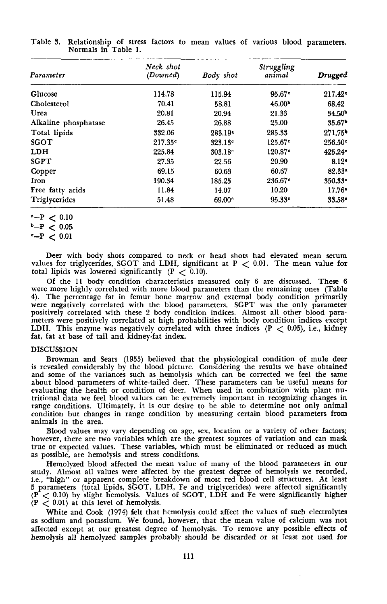| Parameter            | Neck shot<br>(Downed) | <b>Body</b> shot    | Struggling<br>animal  | Drugged             |
|----------------------|-----------------------|---------------------|-----------------------|---------------------|
| Glucose              | 114.78                | 115.94              | $95.67$ °             | 217.42 <sup>e</sup> |
| Cholesterol          | 70.41                 | 58.81               | 46.00 <sup>b</sup>    | 68.42               |
| Urea                 | 20.81                 | 20.94               | 21,33                 | 34.50 <sup>b</sup>  |
| Alkaline phosphatase | 26.45                 | 26.88               | 25.00                 | 35.67 <sup>b</sup>  |
| Total lipids         | 332.06                | 283.19*             | 285.33                | 271.75 <sup>b</sup> |
| <b>SGOT</b>          | 217.35c               | 323.13°             | $125.67$ <sup>c</sup> | 256.50 <sup>e</sup> |
| LDH                  | 225.84                | 303.18 <sup>c</sup> | 120.87 <sup>e</sup>   | 425.24 <sup>c</sup> |
| SGPT                 | 27.35                 | 22.56               | 20.90                 | 8.12 <sup>c</sup>   |
| Copper               | 69.15                 | 60.63               | 60.67                 | $82.33*$            |
| Iron                 | 190.34                | 185.25              | 236.67 <sup>c</sup>   | 350.33 <sup>c</sup> |
| Free fatty acids     | 11.84                 | 14.07               | 10.20                 | $17.76*$            |
| Triglycerides        | 51.48                 | $69.00^{\circ}$     | 95.33c                | 33.58 <sup>c</sup>  |

Table 3. Relationship of stress factors to mean values of various blood parameters. Normals in Table 1.

 $-P < 0.10$  $b-P < 0.05$ <br> $c-P < 0.01$ 

Deer with body shots compared to neck or head shots had elevated mean serum values for triglycerides, SGOT and LDH, significant at  $P < 0.01$ . The mean value for

total lipids was lowered significantly  $(P < 0.10)$ .<br>Of the 11 body condition characteristics measured only 6 are discussed. These 6 were more highly correlated with more blood parameters than the remaining ones (Table 4). The percentage fat in femur bone marrow and external body condition primarily were negatively correlated with the blood parameters. SePT was the only parameter positively correlated with these 2 body condition indices. Almost all other blood parameters were positively correlated at high probabilities with body condition indices except LDH. This enzyme was negatively correlated with three indices (P  $<$  0.05), i.e., kidney fat, fat at base of tail and kidney-fat index.

## DISCUSSION

Browman and Sears (1955) believed that the physiological condition of mule deer is revealed considerably by the blood picture. Considering the results we have obtained and some of the variances such as hemolysis which can be corrected we feel the same about blood parameters of white-tailed deer. These parameters can be useful means for evaluating the health or condition of deer. When used in combination with plant nu- tritional data we feel blood values can be extremely important in recognizing changes in range conditions. Ultimately, it is our desire to be able to determine not only animal condition but changes in range condition by measuring certain blood parameters from animals in the area.

Blood values may vary depending on age, sex, location or a variety of other factors; however, there are two variables which are the greatest sources of variation and can mask true or expected values. These variables, which must be eliminated or reduced as much as possible, are hemolysis and stress conditions.

Hemolyzed blood affected the mean value of many of the blood parameters in our study. Almost all values were affected by the greatest degree of hemolysis we recorded, i.e., "high" or apparent complete breakdown of most red blood cell structures. At least 5 parameters (total lipids, SGOT, LDH, Fe and triglycerides) were affected significantly (p < 0.10) by slight hemolysis. Values of SGOT, LDH and Fe were significantly higher (P < 0.01) at this level of hemolysis.

White and Cook (1974) felt that hemolysis could affect the values of such electrolytes as sodium and potassium. We found, however, that the mean value of calcium was not affected except at our greatest degree of hemolysis. To remove any possible effects of hemolysis all hemolyzed samples probably should be discarded or at least not used for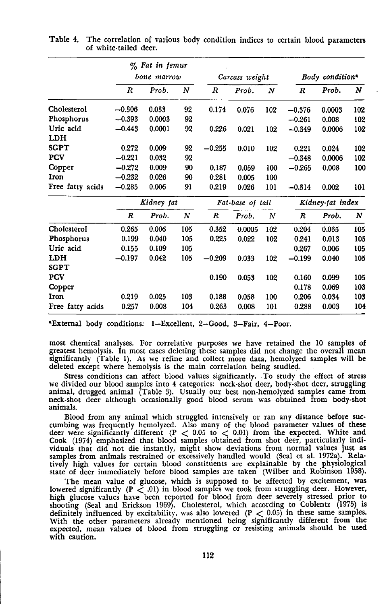|                  |          | $\%$ Fat in femur |                  |          |                  |                  |          |                             |     |  |
|------------------|----------|-------------------|------------------|----------|------------------|------------------|----------|-----------------------------|-----|--|
|                  |          | bone marrow       |                  |          | Carcass weight   |                  |          | Body condition <sup>®</sup> |     |  |
|                  | R        | Prob.             | $\boldsymbol{N}$ | R        | Prob.            | $\boldsymbol{N}$ | R        | Prob.                       | N   |  |
| Cholesterol      | $-0.306$ | 0.033             | 92               | 0.174    | 0.076            | 102              | $-0.376$ | 0.0003                      | 102 |  |
| Phosphorus       | $-0.393$ | 0.0003            | 92               |          |                  |                  | $-0.261$ | 0.008                       | 102 |  |
| Uric acid        | $-0.443$ | 0.0001            | 92               | 0.226    | 0.021            | 102              | $-0.349$ | 0.0006                      | 102 |  |
| LDH              |          |                   |                  |          |                  |                  |          |                             |     |  |
| SGPT             | 0.272    | 0.009             | 92               | $-0.255$ | 0.010            | 102              | 0.221    | 0.024                       | 102 |  |
| <b>PCV</b>       | $-0.221$ | 0.032             | 92               |          |                  |                  | $-0.348$ | 0.0006                      | 102 |  |
| Copper           | $-0.272$ | 0.009             | 90               | 0.187    | 0.059            | 100              | $-0.265$ | 0.008                       | 100 |  |
| <b>Iron</b>      | $-0.232$ | 0.026             | 90               | 0.281    | 0.005            | 100              |          |                             |     |  |
| Free fatty acids | $-0.285$ | 0.006             | 91               | 0.219    | 0.026            | 101              | $-0.314$ | 0.002                       | 101 |  |
|                  |          | Kidney fat        |                  |          | Fat-base of tail |                  |          | Kidney-fat index            |     |  |
|                  | R        | Prob.             | N                | R        | Prob.            | $\boldsymbol{N}$ | R        | Prob.                       | N   |  |
| Cholesterol      | 0.265    | 0.006             | 105              | 0.352    | 0.0005           | 102              | 0.204    | 0.035                       | 105 |  |
| Phosphorus       | 0.199    | 0.040             | 105              | 0.225    | 0.022            | 102              | 0.241    | 0.013                       | 105 |  |
| Uric acid        | 0.155    | 0.109             | 105              |          |                  |                  | 0.267    | 0.006                       | 105 |  |
| LDH              | $-0.197$ | 0.042             | 105              | $-0.209$ | 0.033            | 102              | $-0.199$ | 0.040                       | 105 |  |
| <b>SGPT</b>      |          |                   |                  |          |                  |                  |          |                             |     |  |
| PCV              |          |                   |                  | 0.190    | 0.053            | 102              | 0.160    | 0.099                       | 105 |  |
| Copper           |          |                   |                  |          |                  |                  | 0.178    | 0.069                       | 103 |  |
| Iron             | 0.219    | 0.025             | 103              | 0.188    | 0.058            | 100              | 0.206    | 0.034                       | 103 |  |
| Free fatty acids | 0.257    | 0.008             | 104              | 0.263    | 0.008            | 101              | 0.288    | 0.003                       | 104 |  |

Table 4. The correlation of various body condition indices to certain blood parameters of white·tailed deer.

"External body conditions: I-Excellent, 2-Good, 3-Fair, 4-Poor.

most chemical analyses. For correlative purposes we have retained the 10 samples of greatest hemolysis. In most cases deleting these samples did not change the overall mean significantly (Table 1). As we refine and collect more data, hemolyzed samples will be deleted except where hemolysis is the main correlation being studied.

Stress conditions can affect blood values significantly. To study the effect of stress we divided our blood samples into 4 categories: neck-shot deer, body-shot deer, struggling animal, drugged animal (Table 3). Usually our best non·hemolyzed samples came from neck-shot deer although occasionally good blood serum was obtained from body·shot animals.

Blood from any animal which struggled intensively or ran any distance before suc- cumbing was frequently hemolyzed. Also many of the blood parameter values of these deer were significantly different (P < 0.05 to < 0.01) from the expected. White and Cook (1974) emphasized that blood samples obtained from shot deer, particularly individuals that did not die instantly, might show deviations from normal values just as samples from animals restrained or excessively handled would (Seal et al. 1972a). Relatively high values for certain blood constituents are explainable by the physiological state of deer immediately before blood samples are taken (Wilber and Robinson 1958).

The mean value of glucose, which is supposed to be affected by excitement, was lowered significantly  $(P < .01)$  in blood samples we took from struggling deer. However, high glucose values have been reported for blood from d shooting (Seal and Erickson 1969). Cholesterol, which according to Coblentz (1975) is definitely influenced by excitability, was also lowered  $(P < 0.05)$  in these same samples. With the other parameters already mentioned being significantly different from the expected, mean values of blood from struggling or resisting animals should be used with caution.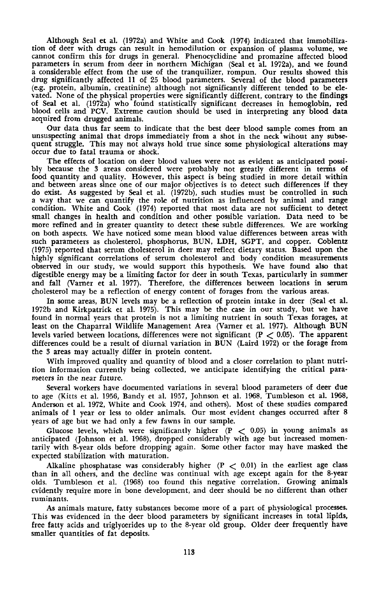Although Seal et al. (1972a) and White and Cook (1974) indicated that immobiliza-tion of deer with drugs can result in hemodilution or expansion of plasma volume, we cannot confirm this for drugs in general. Phenocyclidine and promazine affected blood parameters in serum from deer in northern Michigan (Seal et al. 1972a), and we found a considerable effect from the use of the tranquilizer, rompun. Our results showed this drug significantly affected 11 of 25 blood parameters. Several of the blood parameters (e.g. protein, albumin, creatinine) although not significantly different tended to be elevated. None of the physical properties were significantly different, contrary to the findings of Seal et al. (1972a) who found statistically significant decreases in hemoglobin, red blood cells and PCV. Extreme caution should be used in interpreting any blood data acquired from drugged animals.

Our data thus far seem to indicate that the best deer blood sample comes from an unsuspecting animal that drops immediately from <sup>a</sup> shot in the neck wihout any subsequent struggle. This may not always hold true since some physiological alterations may occur due to fatal trauma or shock.

The effects of location on deer blood values were not as evident as anticipated possibly because the 3 areas considered were probably not greatly different in terms of food quantity and quality. However, this aspect is being studied in more detail within and between areas since one of our major objectives is to detect such differences if they do exist. As suggested by Seal et al. (1972b), such studies must be controlled in such a way that we can quantify the role of nutrition as influenced by animal and range condition. White and Cook (1974) reported that most data are not sufficient to detect small changes in health and condition and other possible variation. Data need to be more refined and in greater quantity to detect these subtle differences. We are working on both aspects. We have noticed some mean blood value differences between areas with such parameters as cholesterol, phosphorus, BUN, LDH, SGPT, and copper. Coblentz (1975) reported that serum cholesterol in deer may reflect dietary status. Based upon the highly significant correlations of serum cholesterol and body condition measurements observed in our study, we would support this hypothesis. We have found also that digestible energy may be a limiting factor for deer in south Texas, particularly in summer and fall (Varner et al. 1977). Therefore, the differences between locations in serum cholesterol may be a reflection of energy content of forages from the various areas.

In some areas, BUN levels may be a reflection of protein intake in deer (Seal et al. 1972b and Kirkpatrick et al. 1975). This may be the case in our study, but we have found in normal years that protein is not a limiting nutrient in south Texas forages, at least on the Chaparral Wildlife Management Area (Varner et al. 1977). Although BUN levels varied between locations, differences were not significant ( $P < 0.05$ ). The apparent differences could be a result of diurnal variation in BUN (Laird 1972) or the forage from the 3 areas may actually differ in protein content.

With improved quality and quantity of blood and a closer correlation to plant nutrition information currently being collected, we anticipate identifying the critical parameters in the near future.

Several workers have documented variations in several blood parameters of deer due to age (Kitts et al. 1956, Bandy et al. 1957, Johnson et al. 1968, Tumbleson et al. 1968, Anderson et al. 1972, White and Cook 1974, and others). Most of these studies compared animals of 1 year or less to older animals. Our most evident changes occurred after 8 years of age but we had only a few fawns in our sample.

Glucose levels, which were significantly higher  $(P < 0.05)$  in young animals as anticipated (Johnson et al. 1968), dropped considerably with age but increased momentarily with 8-year olds before dropping again. Some other factor may have masked the expected stabilization with maturation.

Alkaline phosphatase was considerably higher  $(P < 0.01)$  in the earliest age class than in all others, and the decline was continual with age except again for the 8-year olds. Tumbleson et al. (1968) too found this negative correlation. Growing animals cvidently require more in bone development, and deer should be no different than other ruminants.

As animals mature, fatty substances become more of a part of physiological processes. This was evidenced in the deer blood parameters by significant increases in total lipids, free fatty acids and triglyoerides up to the 8-year old group. Older deer frequently have smaller quantities of fat deposits.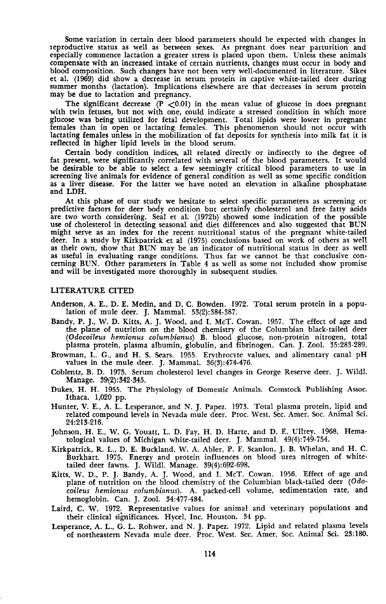Some variation in certain deer blood parameters should be expected with changes in Ieproductive status as well as between sexes. As pregnant does near parturition and especially commence lactation a greater stress is placed upon them. Unless these animals compensate with an increased intake of certain nutrients, changes must occur in body and blood composition. Such changes have not been very well-documented in literature. Sikes et at (1969) did show <sup>a</sup> decrease in serum protein in captive white-tailed deer during summer months (lactation). Implications elsewhere are that decreases in serum protein may be due to lactation and pregnancy.

The significant decrease  $(P < 0.01)$  in the mean value of glucose in does pregnant with twin fetuses, but not with one, could indicate <sup>a</sup> stressed condition in which more glucose was being utilized for fetal development. Total lipids were lower in pregnant femaLes than in open or lactating females. This phenomenon should not occur with lactating females unless in the mobilization of fat deposits for synthesis into milk fat it is reflected in higher lipid levels in the blood serum.

Certain body condition indices. all related directly or indirectly to the degree of fat present, were significantly correlated with several of the blood parameters. It would be desirable to be able to select a few seemingly critical blood parameters to use in screening live animals for evidence of general condition as well as some specific condition as a liver disease. For the latter we have noted an elevation in alkaline phosphatase and LDH.

At this phase of our study we hesitate to select specific parameters as screening or predictive factors for deer body condition but certainly cholesterol and free fatty acids<br>are two worth considering. Seal et al. (1972b) showed some indication of the possible<br>use of cholesterol in detecting seasonal and d might serve as an index for the recent nutritional status of the pregnant white-tailed deer. In a study by Kirkpatrick et al (1975) conclusions based on work of others as well as their own, show that BUN may be an indicator of nutritional status in deer as well<br>as useful in evaluating range conditions. Thus far we cannot be that conclusive concerning BUN. Other parameters in Table 4 as well as some not included show promise and will be investigated more thoroughly in subsequent studies.

## LITERATURE CITED

- Anderson, A. E., D. E. Medin. and D. C. Bowden. 1972. Total serum protein in a population of mule deer. J. Mammal. 53(2):384-387.
- Bandy, P. J., W. D. Kitts, A. J. Wood, and I. McT. Cowan. 1957. The effect of age and the plane of nutrition on the blood chemistry of the Columbian black-tailed deer *(Odocoileus hemionus columbianus)* B. blood ~lucose, non-protein nitrogen, total plasma protein, plasma albumin, globulin, and fibrinogen. Can. J. Zool. 35:283-289.
- Browman, L. G., and H. S. Sears. 1955. Erythrocyte values, and alimentary canal pH values in the mule deer. J. Mammal. 36(3):474-476.
- Coblentz, B. D. 1975. Serum cholesterol level changes in George Reserve deer. J. Wildt Manage. 39(2):342-345.
- Dukes, H. H. 1955. The Physiology of Domestic Animals. Comstock Publishing Assoc. Ithaca. 1,020 pp.
- Hunter, V. E., A. L. Lesperance, and N. J. Papez. 1973. Total plasma protein, lipid and related compound levels in Nevada mule deer. Proc. West. Sec. Amer. Soc. Animal Sci. 24:213-216.
- Johnson, H. E., W. G. Youatt, L. D. Fay, H. D. Harte, and D. E. Ullrey. 1968. Hematological values of Michigan white-tailed deer. J. Mammal. 49(4):749-754.
- Kirkpatrick, R. L., D. E. Buckland, W. A. Abler, P. F. Scanlon, J. B. Whelan, and H. C. Burkhart. 1975. Energy and protein influences on blood urea nitrogen of whitetailed deer fawns. J. Wildl. Manage.  $39(4):692-698$ .
- Kitts, W. D., P. J. Bandy, A. J. Wood, and 1. MeT. Cowan. 1956. Effect of age and plane of nutrition on the blood chemistry of the Columbian black-tailed deer (Odo*coileus hemionus columbianus).* A. packed·cell volume, sedimentation rate, and hemoglobin. Can. J. Zool. 34:477-484.
- Laird, C. W. 1972. Representative values for animal and veterinary populations and their clinical significances. Hycel, Inc. Houston. 34 pp.
- Lesperance, A. L., G. L. Rohwer, and N. J. Papez. 1972. Lipid and related plasma levels of northeastern Nevada mule deer. Proc. West. Sec. Amer. Soc. Animal Sci. 23:180.